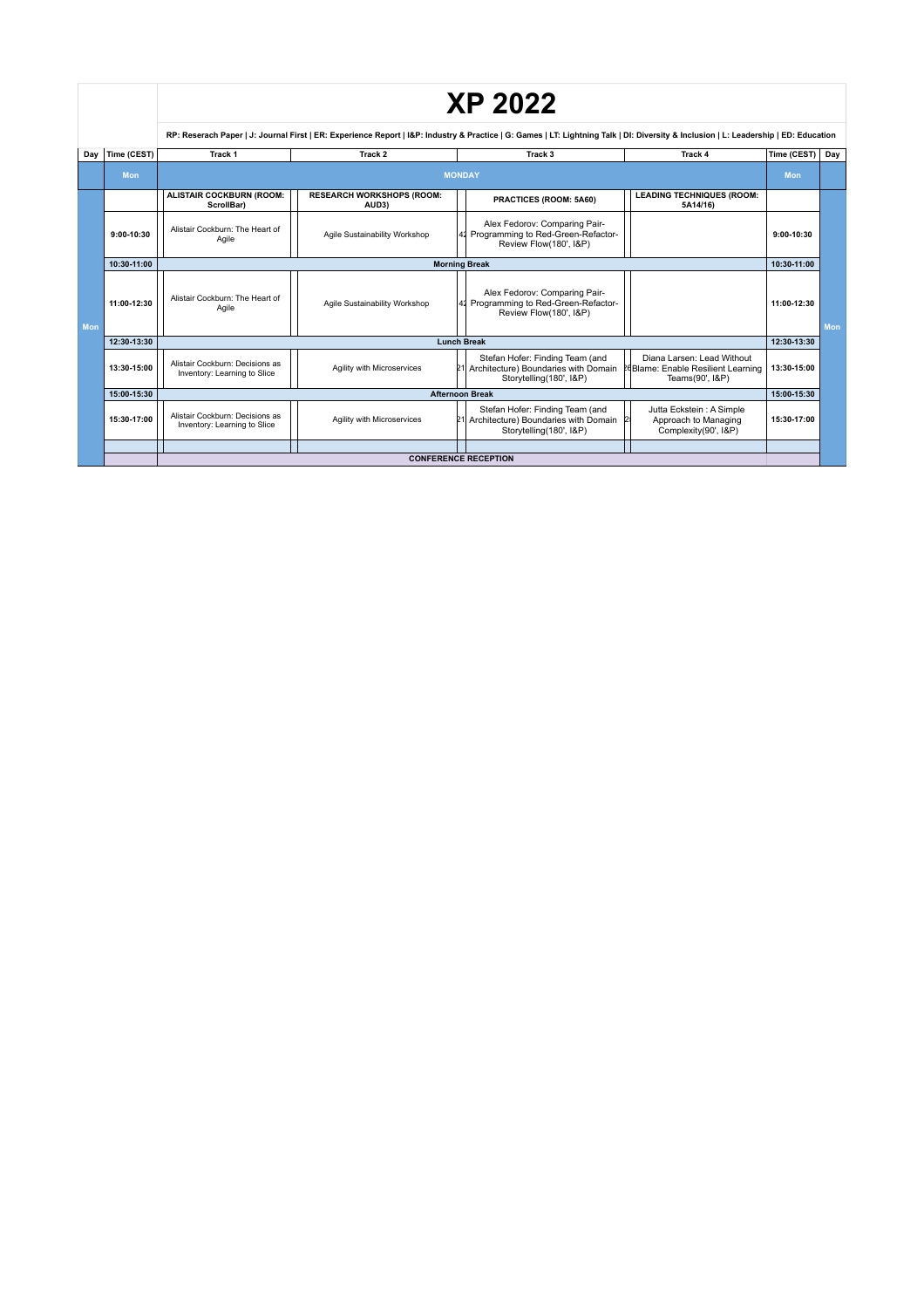|            |              |                                                                                                                                                                                      |                                           |  | <b>XP 2022</b>                                                                                        |  |                                                                                     |              |     |
|------------|--------------|--------------------------------------------------------------------------------------------------------------------------------------------------------------------------------------|-------------------------------------------|--|-------------------------------------------------------------------------------------------------------|--|-------------------------------------------------------------------------------------|--------------|-----|
|            |              | RP: Reserach Paper   J: Journal First   ER: Experience Report   I&P: Industry & Practice   G: Games   LT: Lightning Talk   DI: Diversity & Inclusion   L: Leadership   ED: Education |                                           |  |                                                                                                       |  |                                                                                     |              |     |
| Dav        | Time (CEST)  | Track 1                                                                                                                                                                              | Track 2                                   |  | Track <sub>3</sub>                                                                                    |  | Track 4                                                                             | Time (CEST)  | Day |
|            | <b>Mon</b>   | <b>MONDAY</b>                                                                                                                                                                        |                                           |  |                                                                                                       |  |                                                                                     | <b>Mon</b>   |     |
|            |              | <b>ALISTAIR COCKBURN (ROOM:</b><br>ScrollBar)                                                                                                                                        | <b>RESEARCH WORKSHOPS (ROOM:</b><br>AUD3) |  | PRACTICES (ROOM: 5A60)                                                                                |  | <b>LEADING TECHNIQUES (ROOM:</b><br>5A14/16)                                        |              |     |
|            | $9:00-10:30$ | Alistair Cockburn: The Heart of<br>Agile                                                                                                                                             | Agile Sustainability Workshop             |  | Alex Fedorov: Comparing Pair-<br>Programming to Red-Green-Refactor-<br>Review Flow(180', I&P)         |  |                                                                                     | $9:00-10:30$ |     |
|            | 10:30-11:00  | <b>Morning Break</b>                                                                                                                                                                 |                                           |  |                                                                                                       |  | 10:30-11:00                                                                         |              |     |
| <b>Mon</b> | 11:00-12:30  | Alistair Cockburn: The Heart of<br>Agile                                                                                                                                             | Agile Sustainability Workshop             |  | Alex Fedorov: Comparing Pair-<br>41 Programming to Red-Green-Refactor-<br>Review Flow(180', I&P)      |  |                                                                                     | 11:00-12:30  | Mon |
|            | 12:30-13:30  | <b>Lunch Break</b>                                                                                                                                                                   |                                           |  |                                                                                                       |  |                                                                                     | 12:30-13:30  |     |
|            | 13:30-15:00  | Alistair Cockburn: Decisions as<br>Inventory: Learning to Slice                                                                                                                      | Agility with Microservices                |  | Stefan Hofer: Finding Team (and<br>21 Architecture) Boundaries with Domain<br>Storytelling(180', I&P) |  | Diana Larsen: Lead Without<br>PeBlame: Enable Resilient Learning<br>Teams(90', I&P) | 13:30-15:00  |     |
|            | 15:00-15:30  |                                                                                                                                                                                      | <b>Afternoon Break</b>                    |  |                                                                                                       |  |                                                                                     | 15:00-15:30  |     |
|            | 15:30-17:00  | Alistair Cockburn: Decisions as<br>Inventory: Learning to Slice                                                                                                                      | Agility with Microservices                |  | Stefan Hofer: Finding Team (and<br>21 Architecture) Boundaries with Domain<br>Storytelling(180', I&P) |  | Jutta Eckstein: A Simple<br>Approach to Managing<br>Complexity(90', I&P)            | 15:30-17:00  |     |
|            |              |                                                                                                                                                                                      |                                           |  |                                                                                                       |  |                                                                                     |              |     |
|            |              | <b>CONFERENCE RECEPTION</b>                                                                                                                                                          |                                           |  |                                                                                                       |  |                                                                                     |              |     |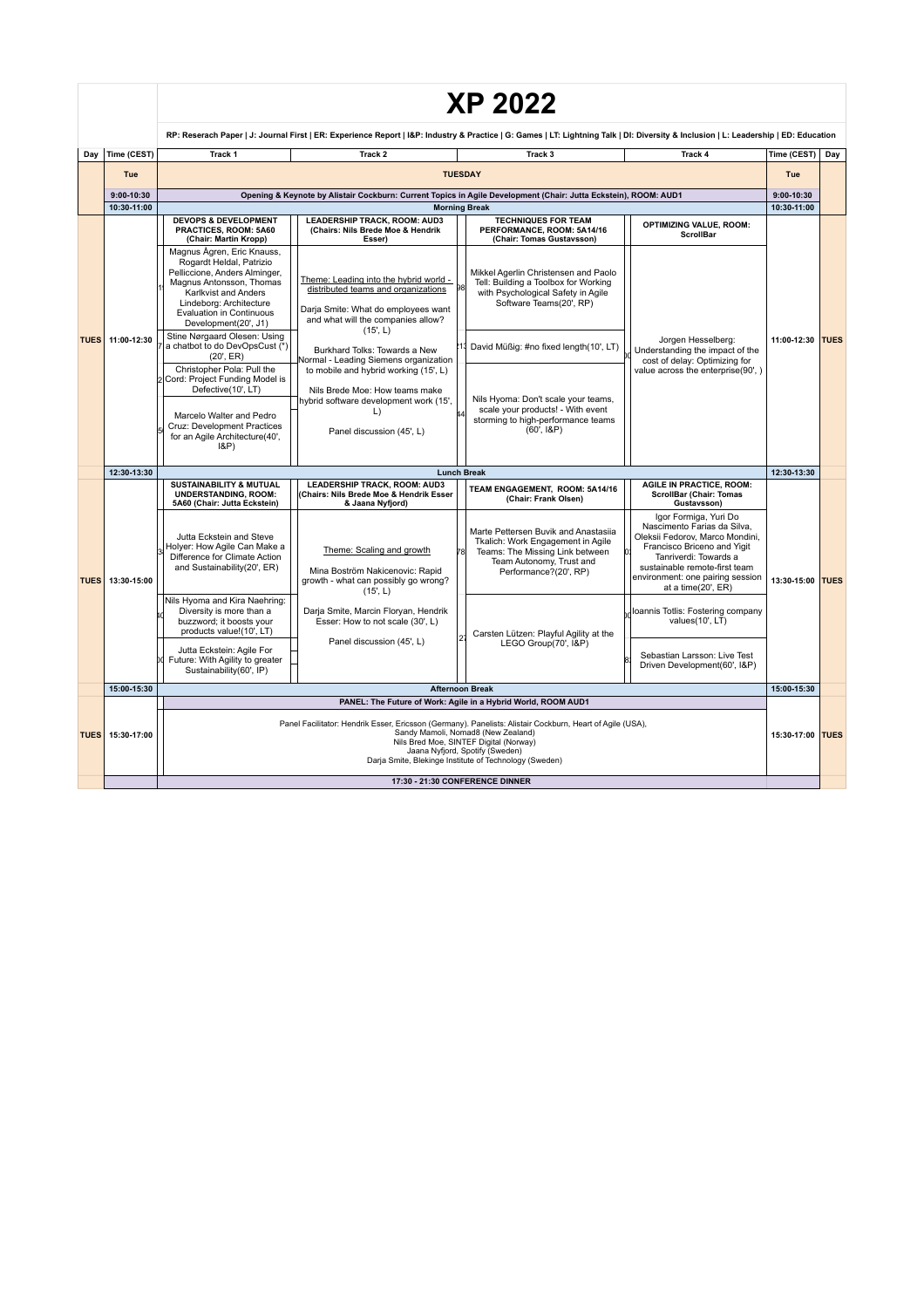|             |                | <b>XP 2022</b>                                                                                                                                                                                                                                                                                                                                                                                                                                                                                                 |                                                                                                                                                                                                                                                                                                                                                                                                             |                                                                                                                                                                                                                                                                                                                         |                                                                                                                                                                                                                                            |                  |     |  |
|-------------|----------------|----------------------------------------------------------------------------------------------------------------------------------------------------------------------------------------------------------------------------------------------------------------------------------------------------------------------------------------------------------------------------------------------------------------------------------------------------------------------------------------------------------------|-------------------------------------------------------------------------------------------------------------------------------------------------------------------------------------------------------------------------------------------------------------------------------------------------------------------------------------------------------------------------------------------------------------|-------------------------------------------------------------------------------------------------------------------------------------------------------------------------------------------------------------------------------------------------------------------------------------------------------------------------|--------------------------------------------------------------------------------------------------------------------------------------------------------------------------------------------------------------------------------------------|------------------|-----|--|
|             |                | RP: Reserach Paper   J: Journal First   ER: Experience Report   I&P: Industry & Practice   G: Games   LT: Lightning Talk   DI: Diversity & Inclusion   L: Leadership   ED: Education                                                                                                                                                                                                                                                                                                                           |                                                                                                                                                                                                                                                                                                                                                                                                             |                                                                                                                                                                                                                                                                                                                         |                                                                                                                                                                                                                                            |                  |     |  |
| Day         | Time (CEST)    | Track <sub>1</sub>                                                                                                                                                                                                                                                                                                                                                                                                                                                                                             | Track <sub>2</sub>                                                                                                                                                                                                                                                                                                                                                                                          | Track <sub>3</sub>                                                                                                                                                                                                                                                                                                      | Track 4                                                                                                                                                                                                                                    | Time (CEST)      | Day |  |
|             | Tue            |                                                                                                                                                                                                                                                                                                                                                                                                                                                                                                                |                                                                                                                                                                                                                                                                                                                                                                                                             | <b>TUESDAY</b>                                                                                                                                                                                                                                                                                                          |                                                                                                                                                                                                                                            | Tue              |     |  |
|             | $9:00 - 10:30$ |                                                                                                                                                                                                                                                                                                                                                                                                                                                                                                                |                                                                                                                                                                                                                                                                                                                                                                                                             | Opening & Keynote by Alistair Cockburn: Current Topics in Agile Development (Chair: Jutta Eckstein), ROOM: AUD1                                                                                                                                                                                                         |                                                                                                                                                                                                                                            | $9:00-10:30$     |     |  |
|             | 10:30-11:00    |                                                                                                                                                                                                                                                                                                                                                                                                                                                                                                                |                                                                                                                                                                                                                                                                                                                                                                                                             | <b>Morning Break</b>                                                                                                                                                                                                                                                                                                    |                                                                                                                                                                                                                                            | 10:30-11:00      |     |  |
|             |                | <b>DEVOPS &amp; DEVELOPMENT</b><br>PRACTICES, ROOM: 5A60<br>(Chair: Martin Kropp)                                                                                                                                                                                                                                                                                                                                                                                                                              | <b>LEADERSHIP TRACK, ROOM: AUD3</b><br>(Chairs: Nils Brede Moe & Hendrik<br>Esser)                                                                                                                                                                                                                                                                                                                          | <b>TECHNIQUES FOR TEAM</b><br>PERFORMANCE, ROOM: 5A14/16<br>(Chair: Tomas Gustavsson)                                                                                                                                                                                                                                   | <b>OPTIMIZING VALUE, ROOM:</b><br><b>ScrollBar</b>                                                                                                                                                                                         |                  |     |  |
| <b>TUES</b> | 11:00-12:30    | Magnus Ågren, Eric Knauss.<br>Rogardt Heldal, Patrizio<br>Pelliccione, Anders Alminger,<br>Magnus Antonsson, Thomas<br>Karlkvist and Anders<br>Lindeborg: Architecture<br>Evaluation in Continuous<br>Development(20', J1)<br>Stine Nørgaard Olesen: Using<br>a chatbot to do DevOpsCust (*)<br>(20', ER)<br>Christopher Pola: Pull the<br>2 Cord: Project Funding Model is<br>Defective(10', LT)<br>Marcelo Walter and Pedro<br>Cruz: Development Practices<br>for an Agile Architecture(40',<br>$ 8P\rangle$ | Theme: Leading into the hybrid world -<br>distributed teams and organizations<br>Darja Smite: What do employees want<br>and what will the companies allow?<br>(15, L)<br>Burkhard Tolks: Towards a New<br>Normal - Leading Siemens organization<br>to mobile and hybrid working (15', L)<br>Nils Brede Moe: How teams make<br>hybrid software development work (15',<br>$\Box$<br>Panel discussion (45', L) | Mikkel Agerlin Christensen and Paolo<br>Tell: Building a Toolbox for Working<br>with Psychological Safety in Agile<br>Software Teams(20', RP)<br>David Müßig: #no fixed length(10', LT)<br>Nils Hyoma: Don't scale your teams,<br>scale your products! - With event<br>storming to high-performance teams<br>(60', 18P) | Jorgen Hesselberg:<br>Understanding the impact of the<br>cost of delay: Optimizing for<br>value across the enterprise(90',)                                                                                                                | 11:00-12:30 TUES |     |  |
|             | 12:30-13:30    |                                                                                                                                                                                                                                                                                                                                                                                                                                                                                                                |                                                                                                                                                                                                                                                                                                                                                                                                             | <b>Lunch Break</b>                                                                                                                                                                                                                                                                                                      |                                                                                                                                                                                                                                            | 12:30-13:30      |     |  |
| <b>TUES</b> | 13:30-15:00    | <b>SUSTAINABILITY &amp; MUTUAL</b><br><b>UNDERSTANDING, ROOM:</b><br>5A60 (Chair: Jutta Eckstein)                                                                                                                                                                                                                                                                                                                                                                                                              | <b>LEADERSHIP TRACK, ROOM: AUD3</b><br>(Chairs: Nils Brede Moe & Hendrik Esser<br>& Jaana Nyfjord)                                                                                                                                                                                                                                                                                                          | TEAM ENGAGEMENT. ROOM: 5A14/16<br>(Chair: Frank Olsen)                                                                                                                                                                                                                                                                  | <b>AGILE IN PRACTICE. ROOM:</b><br><b>ScrollBar (Chair: Tomas</b><br>Gustavsson)                                                                                                                                                           |                  |     |  |
|             |                | Jutta Eckstein and Steve<br>Holyer: How Agile Can Make a<br>Difference for Climate Action<br>and Sustainability(20', ER)                                                                                                                                                                                                                                                                                                                                                                                       | Theme: Scaling and growth<br>Mina Boström Nakicenovic: Rapid<br>growth - what can possibly go wrong?<br>(15, L)                                                                                                                                                                                                                                                                                             | Marte Pettersen Buvik and Anastasiia<br>Tkalich: Work Engagement in Agile<br>Teams: The Missing Link between<br>Team Autonomy, Trust and<br>Performance?(20', RP)                                                                                                                                                       | Igor Formiga, Yuri Do<br>Nascimento Farias da Silva,<br>Oleksii Fedorov, Marco Mondini,<br>Francisco Briceno and Yigit<br>Tanriverdi: Towards a<br>sustainable remote-first team<br>environment: one pairing session<br>at a time(20', ER) | 13:30-15:00 TUES |     |  |
|             |                | Nils Hyoma and Kira Naehring:<br>Diversity is more than a<br>buzzword; it boosts your<br>products value!(10', LT)                                                                                                                                                                                                                                                                                                                                                                                              | Darja Smite, Marcin Floryan, Hendrik<br>Esser: How to not scale (30', L)                                                                                                                                                                                                                                                                                                                                    | Carsten Lützen: Playful Agility at the                                                                                                                                                                                                                                                                                  | Ioannis Totlis: Fostering company<br>values(10', LT)                                                                                                                                                                                       |                  |     |  |
|             |                | Jutta Eckstein: Agile For<br>Future: With Agility to greater<br>Sustainability(60', IP)                                                                                                                                                                                                                                                                                                                                                                                                                        | Panel discussion (45', L)                                                                                                                                                                                                                                                                                                                                                                                   | LEGO Group(70', I&P)                                                                                                                                                                                                                                                                                                    | Sebastian Larsson: Live Test<br>Driven Development(60', I&P)                                                                                                                                                                               | 15:00-15:30      |     |  |
|             | 15:00-15:30    | <b>Afternoon Break</b>                                                                                                                                                                                                                                                                                                                                                                                                                                                                                         |                                                                                                                                                                                                                                                                                                                                                                                                             |                                                                                                                                                                                                                                                                                                                         |                                                                                                                                                                                                                                            |                  |     |  |
|             |                | PANEL: The Future of Work: Agile in a Hybrid World, ROOM AUD1                                                                                                                                                                                                                                                                                                                                                                                                                                                  |                                                                                                                                                                                                                                                                                                                                                                                                             |                                                                                                                                                                                                                                                                                                                         |                                                                                                                                                                                                                                            |                  |     |  |
| <b>TUES</b> | 15:30-17:00    |                                                                                                                                                                                                                                                                                                                                                                                                                                                                                                                |                                                                                                                                                                                                                                                                                                                                                                                                             | Panel Facilitator: Hendrik Esser, Ericsson (Germany). Panelists: Alistair Cockburn, Heart of Agile (USA),<br>Sandy Mamoli, Nomad8 (New Zealand)<br>Nils Bred Moe, SINTEF Digital (Norway)<br>Jaana Nyfjord, Spotify (Sweden)<br>Darja Smite, Blekinge Institute of Technology (Sweden)                                  |                                                                                                                                                                                                                                            | 15:30-17:00 TUES |     |  |
|             |                |                                                                                                                                                                                                                                                                                                                                                                                                                                                                                                                |                                                                                                                                                                                                                                                                                                                                                                                                             | 17:30 - 21:30 CONFERENCE DINNER                                                                                                                                                                                                                                                                                         |                                                                                                                                                                                                                                            |                  |     |  |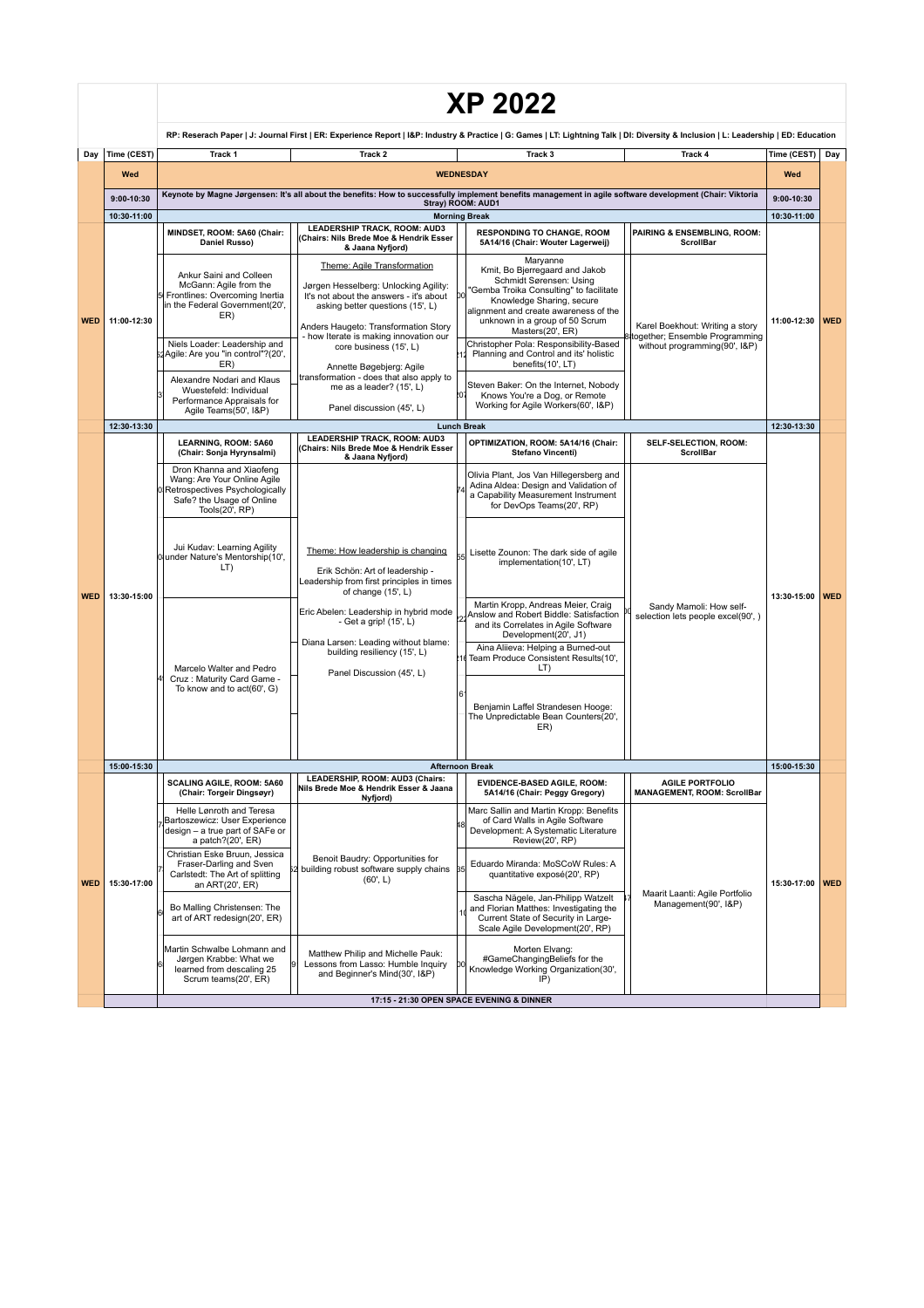|            |                   | <b>XP 2022</b>                                                                                                                                                                                                                                                                                                               |                                                                                                                                                                                                        |                                                                                                                                                                                                                                        |                                                                                                                                                         |                      |            |  |
|------------|-------------------|------------------------------------------------------------------------------------------------------------------------------------------------------------------------------------------------------------------------------------------------------------------------------------------------------------------------------|--------------------------------------------------------------------------------------------------------------------------------------------------------------------------------------------------------|----------------------------------------------------------------------------------------------------------------------------------------------------------------------------------------------------------------------------------------|---------------------------------------------------------------------------------------------------------------------------------------------------------|----------------------|------------|--|
|            |                   |                                                                                                                                                                                                                                                                                                                              |                                                                                                                                                                                                        | RP: Reserach Paper   J: Journal First   ER: Experience Report   I&P: Industry & Practice   G: Games   LT: Lightning Talk   DI: Diversity & Inclusion   L: Leadership   ED: Education                                                   |                                                                                                                                                         |                      |            |  |
| Day        | Time (CEST)       | Track 1                                                                                                                                                                                                                                                                                                                      | Track <sub>2</sub>                                                                                                                                                                                     | Track <sub>3</sub>                                                                                                                                                                                                                     | Track 4                                                                                                                                                 | Time (CEST) Day      |            |  |
|            | Wed<br>9:00-10:30 |                                                                                                                                                                                                                                                                                                                              |                                                                                                                                                                                                        | <b>WEDNESDAY</b><br>Keynote by Magne Jørgensen: It's all about the benefits: How to successfully implement benefits management in agile software development (Chair: Viktoria<br>Stray) ROOM: AUD1                                     |                                                                                                                                                         | Wed<br>9:00-10:30    |            |  |
|            | 10:30-11:00       | MINDSET, ROOM: 5A60 (Chair:                                                                                                                                                                                                                                                                                                  | LEADERSHIP TRACK, ROOM: AUD3                                                                                                                                                                           | <b>Morning Break</b><br><b>RESPONDING TO CHANGE, ROOM</b>                                                                                                                                                                              | PAIRING & ENSEMBLING, ROOM:                                                                                                                             | 10:30-11:00          |            |  |
|            | 11:00-12:30       | Daniel Russo)                                                                                                                                                                                                                                                                                                                | Chairs: Nils Brede Moe & Hendrik Esser<br>& Jaana Nyfjord)<br>Theme: Agile Transformation                                                                                                              | 5A14/16 (Chair: Wouter Lagerweij)<br>Maryanne                                                                                                                                                                                          | <b>ScrollBar</b>                                                                                                                                        |                      |            |  |
| <b>WED</b> |                   | Ankur Saini and Colleen<br>McGann: Agile from the<br>Frontlines: Overcoming Inertia<br>in the Federal Government(20',<br>ER)                                                                                                                                                                                                 | Jørgen Hesselberg: Unlocking Agility:<br>It's not about the answers - it's about<br>asking better questions (15', L)<br>Anders Haugeto: Transformation Story<br>- how Iterate is making innovation our | Kmit. Bo Bierregaard and Jakob<br>Schmidt Sørensen: Using<br>'Gemba Troika Consulting" to facilitate<br>DО<br>Knowledge Sharing, secure<br>alignment and create awareness of the<br>unknown in a group of 50 Scrum<br>Masters(20', ER) | Karel Boekhout: Writing a story<br>together; Ensemble Programming<br>without programming(90', I&P)                                                      | 11:00-12:30          | <b>WED</b> |  |
|            |                   | Niels Loader: Leadership and<br>Agile: Are you "in control"?(20',<br>ER)                                                                                                                                                                                                                                                     | core business (15', L)<br>Annette Bøgebjerg: Agile                                                                                                                                                     | Christopher Pola: Responsibility-Based<br>Planning and Control and its' holistic<br>benefits(10', LT)                                                                                                                                  |                                                                                                                                                         |                      |            |  |
|            |                   | Alexandre Nodari and Klaus<br>Wuestefeld: Individual<br>Performance Appraisals for<br>Agile Teams(50', I&P)                                                                                                                                                                                                                  | transformation - does that also apply to<br>me as a leader? (15', L)<br>Panel discussion (45', L)                                                                                                      | Steven Baker: On the Internet, Nobody<br>Knows You're a Dog, or Remote<br>Working for Agile Workers(60', I&P)                                                                                                                          |                                                                                                                                                         |                      |            |  |
|            | 12:30-13:30       |                                                                                                                                                                                                                                                                                                                              |                                                                                                                                                                                                        | <b>Lunch Break</b>                                                                                                                                                                                                                     |                                                                                                                                                         | 12:30-13:30          |            |  |
|            |                   | LEARNING, ROOM: 5A60<br>(Chair: Sonja Hyrynsalmi)                                                                                                                                                                                                                                                                            | LEADERSHIP TRACK, ROOM: AUD3<br>(Chairs: Nils Brede Moe & Hendrik Esser<br>& Jaana Nyfjord)                                                                                                            | OPTIMIZATION, ROOM: 5A14/16 (Chair:<br>Stefano Vincenti)                                                                                                                                                                               | <b>SELF-SELECTION. ROOM:</b><br><b>ScrollBar</b>                                                                                                        |                      |            |  |
|            | 13:30-15:00       | Dron Khanna and Xiaofeng<br>Wang: Are Your Online Agile<br>Retrospectives Psychologically<br>Safe? the Usage of Online<br>Tools(20', RP)<br>Jui Kudav: Learning Agility<br>0 under Nature's Mentorship(10',<br>LT)                                                                                                           |                                                                                                                                                                                                        | Olivia Plant, Jos Van Hillegersberg and<br>Adina Aldea: Design and Validation of<br>a Capability Measurement Instrument<br>for DevOps Teams(20', RP)                                                                                   |                                                                                                                                                         |                      |            |  |
| <b>WED</b> |                   |                                                                                                                                                                                                                                                                                                                              | Theme: How leadership is changing<br>Erik Schön: Art of leadership -<br>Leadership from first principles in times<br>of change (15', L)                                                                | Lisette Zounon: The dark side of agile<br>implementation(10', LT)                                                                                                                                                                      |                                                                                                                                                         | 13:30-15:00          | <b>WED</b> |  |
|            |                   | Marcelo Walter and Pedro                                                                                                                                                                                                                                                                                                     | Eric Abelen: Leadership in hybrid mode<br>- Get a grip! (15', L)<br>Diana Larsen: Leading without blame:<br>building resiliency (15', L)                                                               | Martin Kropp, Andreas Meier, Craig<br>Anslow and Robert Biddle: Satisfaction<br>and its Correlates in Agile Software<br>Development(20', J1)<br>Aina Aliieva: Helping a Burned-out<br>Team Produce Consistent Results(10',<br>LT)      | Sandy Mamoli: How self-<br>selection lets people excel(90', )                                                                                           |                      |            |  |
|            |                   | Cruz: Maturity Card Game -<br>To know and to act(60', G)                                                                                                                                                                                                                                                                     | Panel Discussion (45', L)                                                                                                                                                                              | Benjamin Laffel Strandesen Hooge:<br>The Unpredictable Bean Counters(20',<br>ER)                                                                                                                                                       |                                                                                                                                                         |                      |            |  |
|            | 15:00-15:30       |                                                                                                                                                                                                                                                                                                                              |                                                                                                                                                                                                        | <b>Afternoon Break</b>                                                                                                                                                                                                                 |                                                                                                                                                         | 15:00-15:30          |            |  |
|            |                   | SCALING AGILE, ROOM: 5A60<br>(Chair: Torgeir Dingsøyr)                                                                                                                                                                                                                                                                       | LEADERSHIP, ROOM: AUD3 (Chairs:<br>Nils Brede Moe & Hendrik Esser & Jaana<br>Nyfjord)                                                                                                                  | <b>EVIDENCE-BASED AGILE, ROOM:</b><br>5A14/16 (Chair: Peggy Gregory)                                                                                                                                                                   | <b>AGILE PORTFOLIO</b><br><b>MANAGEMENT, ROOM: ScrollBar</b>                                                                                            |                      |            |  |
|            |                   | Helle Lønroth and Teresa<br>Bartoszewicz: User Experience<br>design - a true part of SAFe or<br>a patch?(20', ER)<br>Christian Eske Bruun, Jessica<br>Benoit Baudry: Opportunities for<br>Fraser-Darling and Sven<br>building robust software supply chains<br>Carlstedt: The Art of splitting<br>(60, L)<br>an ART(20', ER) | Marc Sallin and Martin Kropp: Benefits<br>of Card Walls in Agile Software<br>Development: A Systematic Literature<br>Review(20', RP)                                                                   | Maarit Laanti: Agile Portfolio                                                                                                                                                                                                         |                                                                                                                                                         |                      |            |  |
| <b>WED</b> | 15:30-17:00       |                                                                                                                                                                                                                                                                                                                              | Eduardo Miranda: MoSCoW Rules: A<br>quantitative exposé(20', RP)                                                                                                                                       |                                                                                                                                                                                                                                        | 15:30-17:00 WED                                                                                                                                         |                      |            |  |
|            |                   |                                                                                                                                                                                                                                                                                                                              | Bo Malling Christensen: The<br>art of ART redesign(20', ER)                                                                                                                                            |                                                                                                                                                                                                                                        | Sascha Nägele, Jan-Philipp Watzelt<br>and Florian Matthes: Investigating the<br>Current State of Security in Large-<br>Scale Agile Development(20', RP) | Management(90', I&P) |            |  |
|            |                   | Martin Schwalbe Lohmann and<br>Jørgen Krabbe: What we<br>learned from descaling 25<br>Scrum teams(20', ER)                                                                                                                                                                                                                   | Matthew Philip and Michelle Pauk:<br>Lessons from Lasso: Humble Inquiry<br>and Beginner's Mind(30', I&P)                                                                                               | Morten Elvang:<br>#GameChangingBeliefs for the<br>Knowledge Working Organization(30',<br>IP)                                                                                                                                           |                                                                                                                                                         |                      |            |  |
|            |                   |                                                                                                                                                                                                                                                                                                                              |                                                                                                                                                                                                        | 17:15 - 21:30 OPEN SPACE EVENING & DINNER                                                                                                                                                                                              |                                                                                                                                                         |                      |            |  |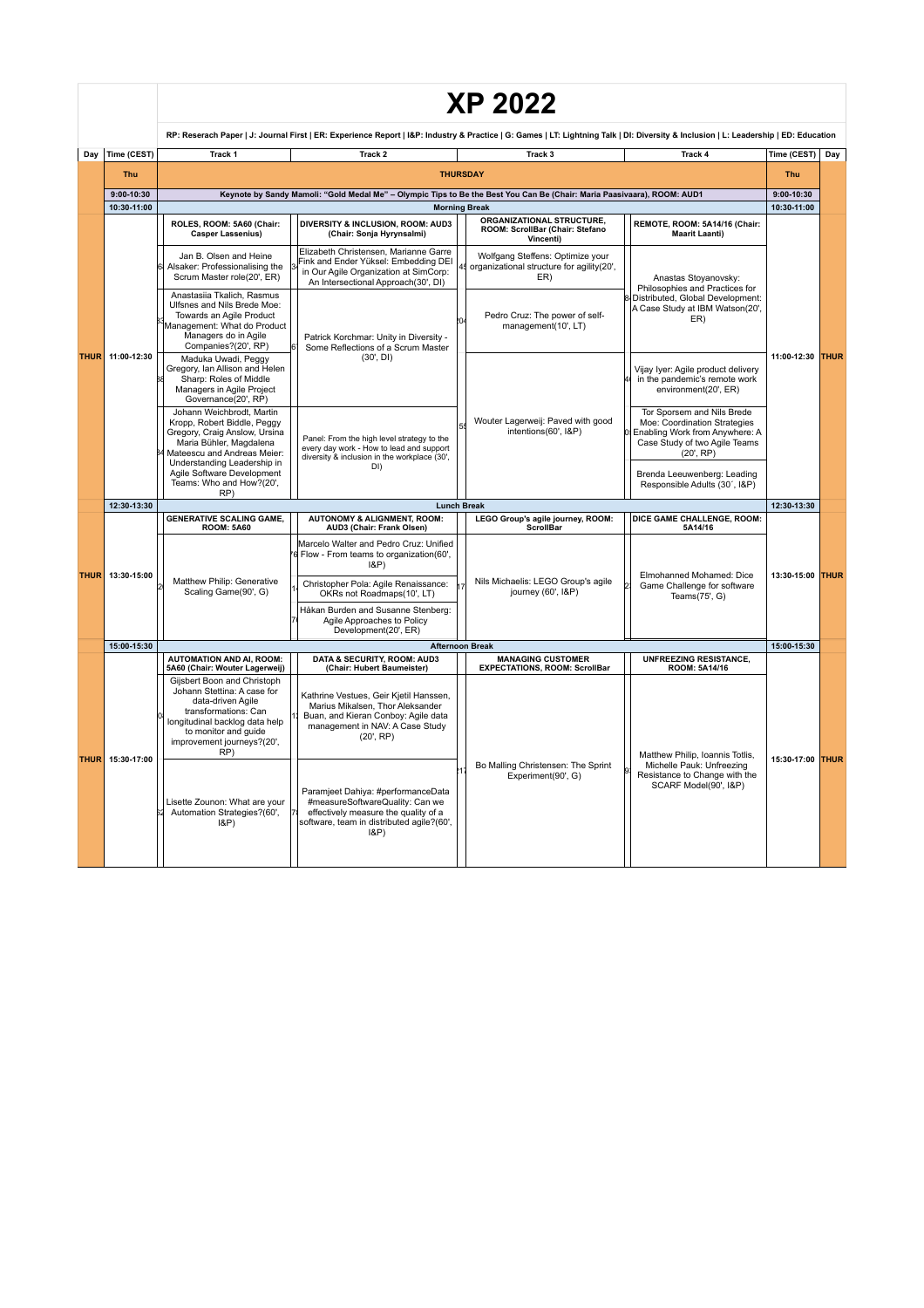|             |                |                                                                                                                                                                                                                                                                                                                                                                                                                                                                                                  |                                                                                                                                                                                    | <b>XP 2022</b>                                                                                                                                                        |                                                                                                                                           |                                                                                     |                          |                  |  |
|-------------|----------------|--------------------------------------------------------------------------------------------------------------------------------------------------------------------------------------------------------------------------------------------------------------------------------------------------------------------------------------------------------------------------------------------------------------------------------------------------------------------------------------------------|------------------------------------------------------------------------------------------------------------------------------------------------------------------------------------|-----------------------------------------------------------------------------------------------------------------------------------------------------------------------|-------------------------------------------------------------------------------------------------------------------------------------------|-------------------------------------------------------------------------------------|--------------------------|------------------|--|
|             |                | RP: Reserach Paper   J: Journal First   ER: Experience Report   I&P: Industry & Practice   G: Games   LT: Lightning Talk   DI: Diversity & Inclusion   L: Leadership   ED: Education                                                                                                                                                                                                                                                                                                             |                                                                                                                                                                                    |                                                                                                                                                                       |                                                                                                                                           |                                                                                     |                          |                  |  |
| Day         | Time (CEST)    | Track 1                                                                                                                                                                                                                                                                                                                                                                                                                                                                                          | Track 2                                                                                                                                                                            | Track 3                                                                                                                                                               | Track 4                                                                                                                                   | Time (CEST)                                                                         | Day                      |                  |  |
|             | Thu            | <b>THURSDAY</b>                                                                                                                                                                                                                                                                                                                                                                                                                                                                                  |                                                                                                                                                                                    |                                                                                                                                                                       |                                                                                                                                           |                                                                                     |                          |                  |  |
|             | $9:00 - 10:30$ |                                                                                                                                                                                                                                                                                                                                                                                                                                                                                                  | Keynote by Sandy Mamoli: "Gold Medal Me" - Olympic Tips to Be the Best You Can Be (Chair: Maria Paasiyaara), ROOM: AUD1                                                            |                                                                                                                                                                       |                                                                                                                                           | $9:00 - 10:30$                                                                      |                          |                  |  |
|             | 10:30-11:00    |                                                                                                                                                                                                                                                                                                                                                                                                                                                                                                  |                                                                                                                                                                                    | <b>Morning Break</b>                                                                                                                                                  |                                                                                                                                           | 10:30-11:00                                                                         |                          |                  |  |
| <b>THUR</b> | 11:00-12:30    | ROLES, ROOM: 5A60 (Chair:<br><b>Casper Lassenius)</b>                                                                                                                                                                                                                                                                                                                                                                                                                                            | DIVERSITY & INCLUSION, ROOM: AUD3<br>(Chair: Sonja Hyrynsalmi)                                                                                                                     | ORGANIZATIONAL STRUCTURE,<br>ROOM: ScrollBar (Chair: Stefano<br>Vincenti)                                                                                             | REMOTE, ROOM: 5A14/16 (Chair:<br><b>Maarit Laanti)</b>                                                                                    |                                                                                     |                          |                  |  |
|             |                | Jan B. Olsen and Heine<br>Alsaker: Professionalising the<br>Scrum Master role(20', ER)                                                                                                                                                                                                                                                                                                                                                                                                           | Elizabeth Christensen, Marianne Garre<br>Fink and Ender Yüksel: Embedding DEI<br>in Our Agile Organization at SimCorp:<br>An Intersectional Approach(30', DI)                      | Wolfgang Steffens: Optimize your<br>organizational structure for agility(20',<br>ER)                                                                                  | Anastas Stoyanovsky:<br>Philosophies and Practices for                                                                                    |                                                                                     |                          |                  |  |
|             |                | Anastasija Tkalich, Rasmus<br>Ulfsnes and Nils Brede Moe:<br>Towards an Agile Product<br>Management: What do Product<br>Managers do in Agile<br>Companies?(20', RP)<br>Maduka Uwadi, Peggy<br>Gregory, Ian Allison and Helen<br>Sharp: Roles of Middle<br>Managers in Agile Project<br>Governance(20', RP)<br>Johann Weichbrodt, Martin<br>Kropp, Robert Biddle, Peggy<br>Gregory, Craig Anslow, Ursina<br>Maria Bühler, Magdalena<br>Mateescu and Andreas Meier:<br>Understanding Leadership in | Patrick Korchmar: Unity in Diversity -<br>Some Reflections of a Scrum Master                                                                                                       | Pedro Cruz: The power of self-<br>management(10', LT)                                                                                                                 | Distributed, Global Development:<br>A Case Study at IBM Watson(20',<br>ER)                                                                |                                                                                     |                          |                  |  |
|             |                |                                                                                                                                                                                                                                                                                                                                                                                                                                                                                                  | (30', DI)                                                                                                                                                                          |                                                                                                                                                                       | Vijay Iyer: Agile product delivery<br>in the pandemic's remote work<br>environment(20', ER)                                               | 11:00-12:30                                                                         | <b>THUR</b>              |                  |  |
|             |                |                                                                                                                                                                                                                                                                                                                                                                                                                                                                                                  | Panel: From the high level strategy to the<br>every day work - How to lead and support<br>diversity & inclusion in the workplace (30',<br>DI)                                      | Wouter Lagerweij: Paved with good<br>intentions(60', I&P)                                                                                                             | Tor Sporsem and Nils Brede<br>Moe: Coordination Strategies<br>Enabling Work from Anywhere: A<br>Case Study of two Agile Teams<br>(20, RP) |                                                                                     |                          |                  |  |
|             |                | Agile Software Development<br>Teams: Who and How?(20',<br>RP)                                                                                                                                                                                                                                                                                                                                                                                                                                    |                                                                                                                                                                                    |                                                                                                                                                                       | Brenda Leeuwenberg: Leading<br>Responsible Adults (30', I&P)                                                                              |                                                                                     |                          |                  |  |
|             | 12:30-13:30    |                                                                                                                                                                                                                                                                                                                                                                                                                                                                                                  |                                                                                                                                                                                    | <b>Lunch Break</b>                                                                                                                                                    |                                                                                                                                           | 12:30-13:30                                                                         |                          |                  |  |
|             | 13:30-15:00    | <b>GENERATIVE SCALING GAME,</b><br><b>ROOM: 5A60</b>                                                                                                                                                                                                                                                                                                                                                                                                                                             | <b>AUTONOMY &amp; ALIGNMENT, ROOM:</b><br>AUD3 (Chair: Frank Olsen)                                                                                                                | LEGO Group's agile journey, ROOM:<br><b>ScrollBar</b>                                                                                                                 | DICE GAME CHALLENGE, ROOM:<br>5A14/16                                                                                                     |                                                                                     |                          |                  |  |
| <b>THUR</b> |                |                                                                                                                                                                                                                                                                                                                                                                                                                                                                                                  |                                                                                                                                                                                    |                                                                                                                                                                       | Marcelo Walter and Pedro Cruz: Unified<br>Flow - From teams to organization(60',<br>$ 8P\rangle$                                          |                                                                                     | Elmohanned Mohamed: Dice | 13:30-15:00 THUR |  |
|             |                |                                                                                                                                                                                                                                                                                                                                                                                                                                                                                                  |                                                                                                                                                                                    | Matthew Philip: Generative<br>Christopher Pola: Agile Renaissance:<br>Scaling Game(90', G)<br>OKRs not Roadmaps(10', LT)                                              | Nils Michaelis: LEGO Group's agile<br>journey (60', I&P)                                                                                  | Game Challenge for software<br>Teams(75', G)                                        |                          |                  |  |
|             |                |                                                                                                                                                                                                                                                                                                                                                                                                                                                                                                  | Håkan Burden and Susanne Stenberg:<br>Agile Approaches to Policy<br>Development(20', ER)                                                                                           |                                                                                                                                                                       |                                                                                                                                           |                                                                                     |                          |                  |  |
|             | 15:00-15:30    |                                                                                                                                                                                                                                                                                                                                                                                                                                                                                                  |                                                                                                                                                                                    | <b>Afternoon Break</b>                                                                                                                                                |                                                                                                                                           | 15:00-15:30                                                                         |                          |                  |  |
|             |                | <b>AUTOMATION AND AI. ROOM:</b>                                                                                                                                                                                                                                                                                                                                                                                                                                                                  | DATA & SECURITY, ROOM: AUD3                                                                                                                                                        | <b>MANAGING CUSTOMER</b>                                                                                                                                              | <b>UNFREEZING RESISTANCE.</b>                                                                                                             |                                                                                     |                          |                  |  |
| <b>THUR</b> | 15:30-17:00    | 5A60 (Chair: Wouter Lagerweij)<br>Gijsbert Boon and Christoph<br>Johann Stettina: A case for<br>data-driven Agile<br>transformations: Can<br>longitudinal backlog data help<br>to monitor and quide<br>(20', RP)<br>improvement journeys?(20',<br>RP)                                                                                                                                                                                                                                            | (Chair: Hubert Baumeister)<br>Kathrine Vestues, Geir Kjetil Hanssen,<br>Marius Mikalsen, Thor Aleksander<br>Buan, and Kieran Conboy: Agile data<br>management in NAV: A Case Study | <b>EXPECTATIONS, ROOM: ScrollBar</b>                                                                                                                                  | ROOM: 5A14/16<br>Matthew Philip, Ioannis Totlis,                                                                                          |                                                                                     |                          |                  |  |
|             |                |                                                                                                                                                                                                                                                                                                                                                                                                                                                                                                  | Lisette Zounon: What are your<br>Automation Strategies?(60',<br>$ 8P\rangle$                                                                                                       | Paramjeet Dahiya: #performanceData<br>#measureSoftwareQuality: Can we<br>effectively measure the quality of a<br>software, team in distributed agile?(60',<br>$l$ &P) | Bo Malling Christensen: The Sprint<br>Experiment(90', G)                                                                                  | Michelle Pauk: Unfreezing<br>Resistance to Change with the<br>SCARF Model(90', I&P) | 15:30-17:00 THUR         |                  |  |